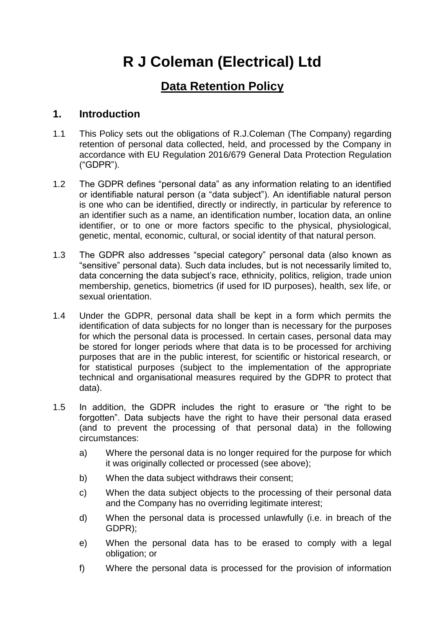# **R J Coleman (Electrical) Ltd**

## **Data Retention Policy**

#### **1. Introduction**

- 1.1 This Policy sets out the obligations of R.J.Coleman (The Company) regarding retention of personal data collected, held, and processed by the Company in accordance with EU Regulation 2016/679 General Data Protection Regulation ("GDPR").
- 1.2 The GDPR defines "personal data" as any information relating to an identified or identifiable natural person (a "data subject"). An identifiable natural person is one who can be identified, directly or indirectly, in particular by reference to an identifier such as a name, an identification number, location data, an online identifier, or to one or more factors specific to the physical, physiological, genetic, mental, economic, cultural, or social identity of that natural person.
- 1.3 The GDPR also addresses "special category" personal data (also known as "sensitive" personal data). Such data includes, but is not necessarily limited to, data concerning the data subject's race, ethnicity, politics, religion, trade union membership, genetics, biometrics (if used for ID purposes), health, sex life, or sexual orientation.
- 1.4 Under the GDPR, personal data shall be kept in a form which permits the identification of data subjects for no longer than is necessary for the purposes for which the personal data is processed. In certain cases, personal data may be stored for longer periods where that data is to be processed for archiving purposes that are in the public interest, for scientific or historical research, or for statistical purposes (subject to the implementation of the appropriate technical and organisational measures required by the GDPR to protect that data).
- 1.5 In addition, the GDPR includes the right to erasure or "the right to be forgotten". Data subjects have the right to have their personal data erased (and to prevent the processing of that personal data) in the following circumstances:
	- a) Where the personal data is no longer required for the purpose for which it was originally collected or processed (see above);
	- b) When the data subject withdraws their consent;
	- c) When the data subject objects to the processing of their personal data and the Company has no overriding legitimate interest;
	- d) When the personal data is processed unlawfully (i.e. in breach of the GDPR);
	- e) When the personal data has to be erased to comply with a legal obligation; or
	- f) Where the personal data is processed for the provision of information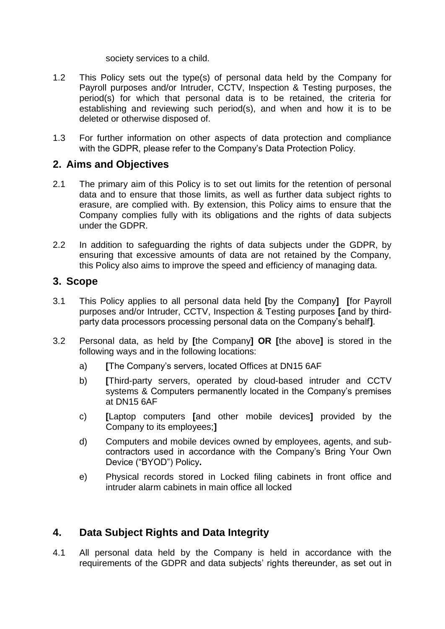#### society services to a child.

- 1.2 This Policy sets out the type(s) of personal data held by the Company for Payroll purposes and/or Intruder, CCTV, Inspection & Testing purposes, the period(s) for which that personal data is to be retained, the criteria for establishing and reviewing such period(s), and when and how it is to be deleted or otherwise disposed of.
- 1.3 For further information on other aspects of data protection and compliance with the GDPR, please refer to the Company's Data Protection Policy.

#### **2. Aims and Objectives**

- 2.1 The primary aim of this Policy is to set out limits for the retention of personal data and to ensure that those limits, as well as further data subject rights to erasure, are complied with. By extension, this Policy aims to ensure that the Company complies fully with its obligations and the rights of data subjects under the GDPR.
- 2.2 In addition to safeguarding the rights of data subjects under the GDPR, by ensuring that excessive amounts of data are not retained by the Company, this Policy also aims to improve the speed and efficiency of managing data.

#### **3. Scope**

- 3.1 This Policy applies to all personal data held **[**by the Company**] [**for Payroll purposes and/or Intruder, CCTV, Inspection & Testing purposes **[**and by thirdparty data processors processing personal data on the Company's behalf**]**.
- 3.2 Personal data, as held by **[**the Company**] OR [**the above**]** is stored in the following ways and in the following locations:
	- a) **[**The Company's servers, located Offices at DN15 6AF
	- b) **[**Third-party servers, operated by cloud-based intruder and CCTV systems & Computers permanently located in the Company's premises at DN15 6AF
	- c) **[**Laptop computers **[**and other mobile devices**]** provided by the Company to its employees;**]**
	- d) Computers and mobile devices owned by employees, agents, and subcontractors used in accordance with the Company's Bring Your Own Device ("BYOD") Policy**.**
	- e) Physical records stored in Locked filing cabinets in front office and intruder alarm cabinets in main office all locked

### **4. Data Subject Rights and Data Integrity**

4.1 All personal data held by the Company is held in accordance with the requirements of the GDPR and data subjects' rights thereunder, as set out in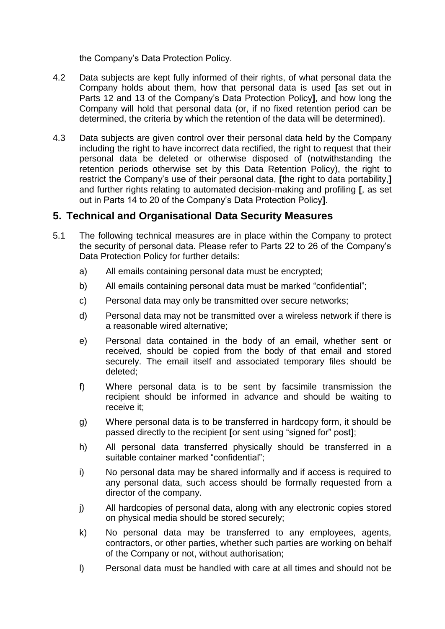the Company's Data Protection Policy.

- 4.2 Data subjects are kept fully informed of their rights, of what personal data the Company holds about them, how that personal data is used **[**as set out in Parts 12 and 13 of the Company's Data Protection Policy**]**, and how long the Company will hold that personal data (or, if no fixed retention period can be determined, the criteria by which the retention of the data will be determined).
- 4.3 Data subjects are given control over their personal data held by the Company including the right to have incorrect data rectified, the right to request that their personal data be deleted or otherwise disposed of (notwithstanding the retention periods otherwise set by this Data Retention Policy), the right to restrict the Company's use of their personal data, **[**the right to data portability,**]** and further rights relating to automated decision-making and profiling **[**, as set out in Parts 14 to 20 of the Company's Data Protection Policy**]**.

#### **5. Technical and Organisational Data Security Measures**

- 5.1 The following technical measures are in place within the Company to protect the security of personal data. Please refer to Parts 22 to 26 of the Company's Data Protection Policy for further details:
	- a) All emails containing personal data must be encrypted;
	- b) All emails containing personal data must be marked "confidential";
	- c) Personal data may only be transmitted over secure networks;
	- d) Personal data may not be transmitted over a wireless network if there is a reasonable wired alternative;
	- e) Personal data contained in the body of an email, whether sent or received, should be copied from the body of that email and stored securely. The email itself and associated temporary files should be deleted;
	- f) Where personal data is to be sent by facsimile transmission the recipient should be informed in advance and should be waiting to receive it;
	- g) Where personal data is to be transferred in hardcopy form, it should be passed directly to the recipient **[**or sent using "signed for" post**]**;
	- h) All personal data transferred physically should be transferred in a suitable container marked "confidential";
	- i) No personal data may be shared informally and if access is required to any personal data, such access should be formally requested from a director of the company.
	- j) All hardcopies of personal data, along with any electronic copies stored on physical media should be stored securely;
	- k) No personal data may be transferred to any employees, agents, contractors, or other parties, whether such parties are working on behalf of the Company or not, without authorisation;
	- l) Personal data must be handled with care at all times and should not be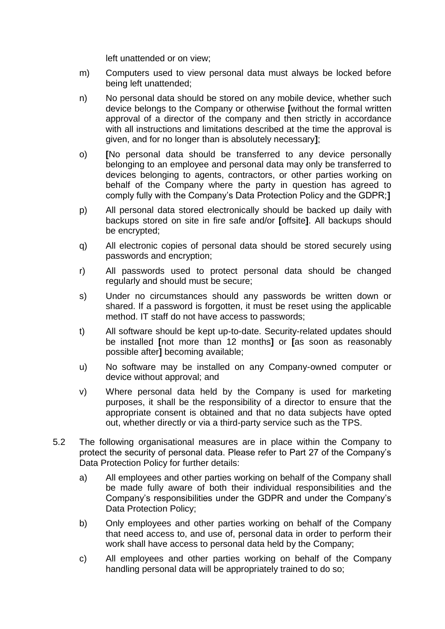left unattended or on view;

- m) Computers used to view personal data must always be locked before being left unattended;
- n) No personal data should be stored on any mobile device, whether such device belongs to the Company or otherwise **[**without the formal written approval of a director of the company and then strictly in accordance with all instructions and limitations described at the time the approval is given, and for no longer than is absolutely necessary**]**;
- o) **[**No personal data should be transferred to any device personally belonging to an employee and personal data may only be transferred to devices belonging to agents, contractors, or other parties working on behalf of the Company where the party in question has agreed to comply fully with the Company's Data Protection Policy and the GDPR;**]**
- p) All personal data stored electronically should be backed up daily with backups stored on site in fire safe and/or **[**offsite**]**. All backups should be encrypted;
- q) All electronic copies of personal data should be stored securely using passwords and encryption;
- r) All passwords used to protect personal data should be changed regularly and should must be secure;
- s) Under no circumstances should any passwords be written down or shared. If a password is forgotten, it must be reset using the applicable method. IT staff do not have access to passwords;
- t) All software should be kept up-to-date. Security-related updates should be installed **[**not more than 12 months**]** or **[**as soon as reasonably possible after**]** becoming available;
- u) No software may be installed on any Company-owned computer or device without approval; and
- v) Where personal data held by the Company is used for marketing purposes, it shall be the responsibility of a director to ensure that the appropriate consent is obtained and that no data subjects have opted out, whether directly or via a third-party service such as the TPS.
- 5.2 The following organisational measures are in place within the Company to protect the security of personal data. Please refer to Part 27 of the Company's Data Protection Policy for further details:
	- a) All employees and other parties working on behalf of the Company shall be made fully aware of both their individual responsibilities and the Company's responsibilities under the GDPR and under the Company's Data Protection Policy;
	- b) Only employees and other parties working on behalf of the Company that need access to, and use of, personal data in order to perform their work shall have access to personal data held by the Company;
	- c) All employees and other parties working on behalf of the Company handling personal data will be appropriately trained to do so;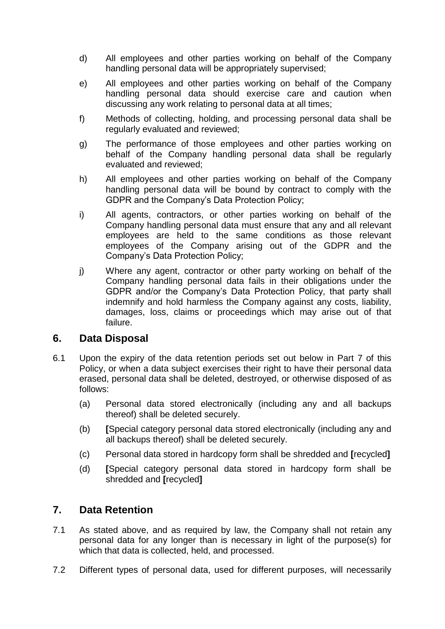- d) All employees and other parties working on behalf of the Company handling personal data will be appropriately supervised;
- e) All employees and other parties working on behalf of the Company handling personal data should exercise care and caution when discussing any work relating to personal data at all times;
- f) Methods of collecting, holding, and processing personal data shall be regularly evaluated and reviewed;
- g) The performance of those employees and other parties working on behalf of the Company handling personal data shall be regularly evaluated and reviewed;
- h) All employees and other parties working on behalf of the Company handling personal data will be bound by contract to comply with the GDPR and the Company's Data Protection Policy;
- i) All agents, contractors, or other parties working on behalf of the Company handling personal data must ensure that any and all relevant employees are held to the same conditions as those relevant employees of the Company arising out of the GDPR and the Company's Data Protection Policy;
- j) Where any agent, contractor or other party working on behalf of the Company handling personal data fails in their obligations under the GDPR and/or the Company's Data Protection Policy, that party shall indemnify and hold harmless the Company against any costs, liability, damages, loss, claims or proceedings which may arise out of that failure.

#### **6. Data Disposal**

- 6.1 Upon the expiry of the data retention periods set out below in Part 7 of this Policy, or when a data subject exercises their right to have their personal data erased, personal data shall be deleted, destroyed, or otherwise disposed of as follows:
	- (a) Personal data stored electronically (including any and all backups thereof) shall be deleted securely.
	- (b) **[**Special category personal data stored electronically (including any and all backups thereof) shall be deleted securely.
	- (c) Personal data stored in hardcopy form shall be shredded and **[**recycled**]**
	- (d) **[**Special category personal data stored in hardcopy form shall be shredded and **[**recycled**]**

#### **7. Data Retention**

- 7.1 As stated above, and as required by law, the Company shall not retain any personal data for any longer than is necessary in light of the purpose(s) for which that data is collected, held, and processed.
- 7.2 Different types of personal data, used for different purposes, will necessarily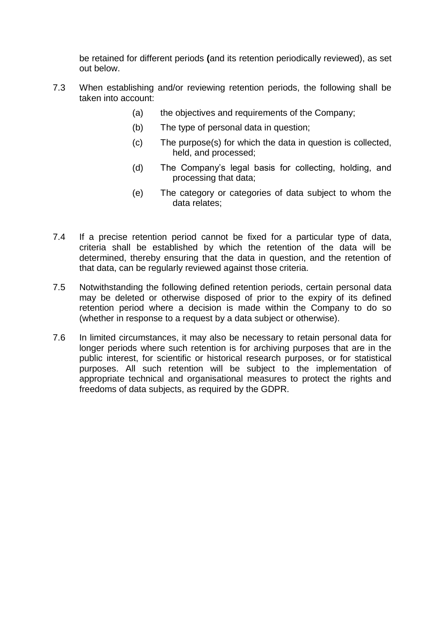be retained for different periods **(**and its retention periodically reviewed), as set out below.

- 7.3 When establishing and/or reviewing retention periods, the following shall be taken into account:
	- (a) the objectives and requirements of the Company;
	- (b) The type of personal data in question;
	- (c) The purpose(s) for which the data in question is collected, held, and processed;
	- (d) The Company's legal basis for collecting, holding, and processing that data;
	- (e) The category or categories of data subject to whom the data relates;
- 7.4 If a precise retention period cannot be fixed for a particular type of data, criteria shall be established by which the retention of the data will be determined, thereby ensuring that the data in question, and the retention of that data, can be regularly reviewed against those criteria.
- 7.5 Notwithstanding the following defined retention periods, certain personal data may be deleted or otherwise disposed of prior to the expiry of its defined retention period where a decision is made within the Company to do so (whether in response to a request by a data subject or otherwise).
- 7.6 In limited circumstances, it may also be necessary to retain personal data for longer periods where such retention is for archiving purposes that are in the public interest, for scientific or historical research purposes, or for statistical purposes. All such retention will be subject to the implementation of appropriate technical and organisational measures to protect the rights and freedoms of data subjects, as required by the GDPR.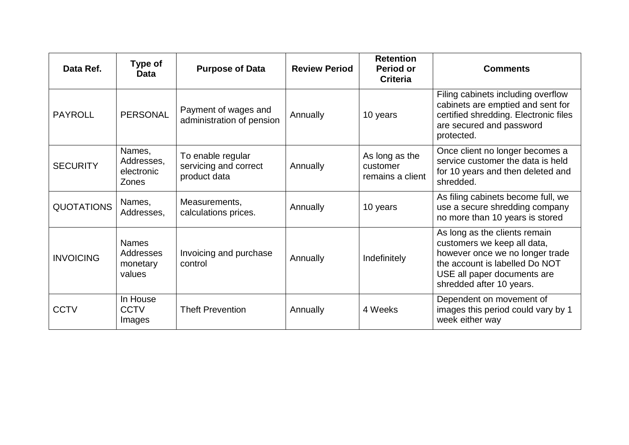| Data Ref.         | <b>Type of</b><br><b>Data</b>                      | <b>Purpose of Data</b>                                     | <b>Review Period</b> | <b>Retention</b><br><b>Period or</b><br><b>Criteria</b> | <b>Comments</b>                                                                                                                                                                              |
|-------------------|----------------------------------------------------|------------------------------------------------------------|----------------------|---------------------------------------------------------|----------------------------------------------------------------------------------------------------------------------------------------------------------------------------------------------|
| <b>PAYROLL</b>    | <b>PERSONAL</b>                                    | Payment of wages and<br>administration of pension          | Annually             | 10 years                                                | Filing cabinets including overflow<br>cabinets are emptied and sent for<br>certified shredding. Electronic files<br>are secured and password<br>protected.                                   |
| <b>SECURITY</b>   | Names,<br>Addresses,<br>electronic<br><b>Zones</b> | To enable regular<br>servicing and correct<br>product data | Annually             | As long as the<br>customer<br>remains a client          | Once client no longer becomes a<br>service customer the data is held<br>for 10 years and then deleted and<br>shredded.                                                                       |
| <b>QUOTATIONS</b> | Names,<br>Addresses,                               | Measurements,<br>calculations prices.                      | Annually             | 10 years                                                | As filing cabinets become full, we<br>use a secure shredding company<br>no more than 10 years is stored                                                                                      |
| <b>INVOICING</b>  | <b>Names</b><br>Addresses<br>monetary<br>values    | Invoicing and purchase<br>control                          | Annually             | Indefinitely                                            | As long as the clients remain<br>customers we keep all data,<br>however once we no longer trade<br>the account is labelled Do NOT<br>USE all paper documents are<br>shredded after 10 years. |
| <b>CCTV</b>       | In House<br><b>CCTV</b><br>Images                  | <b>Theft Prevention</b>                                    | Annually             | 4 Weeks                                                 | Dependent on movement of<br>images this period could vary by 1<br>week either way                                                                                                            |